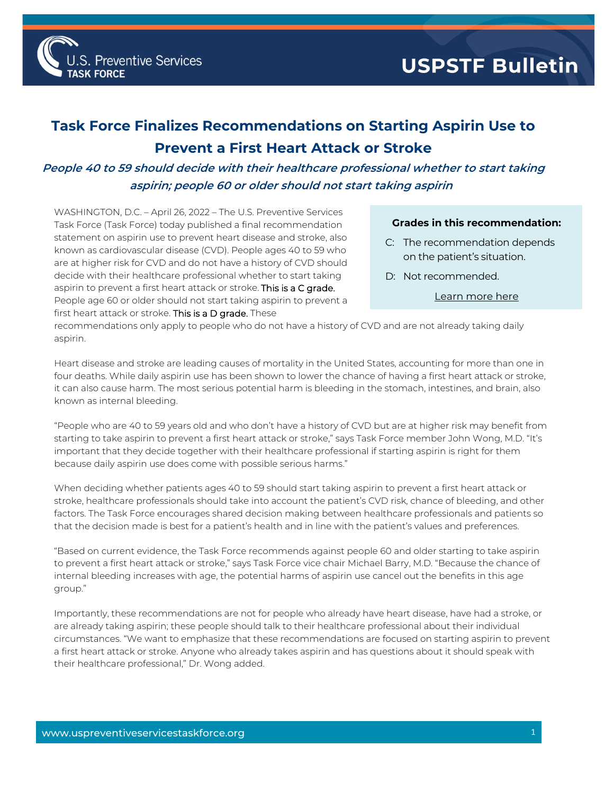

## USPSTF Bulletin

## **Task Force Finalizes Recommendations on Starting Aspirin Use to Prevent a First Heart Attack or Stroke**

## **People 40 to 59 should decide with their healthcare professional whether to start taking aspirin; people 60 or older should not start taking aspirin**

WASHINGTON, D.C. – April 26, 2022 – The U.S. Preventive Services Task Force (Task Force) today published a final recommendation statement on aspirin use to prevent heart disease and stroke, also known as cardiovascular disease (CVD). People ages 40 to 59 who are at higher risk for CVD and do not have a history of CVD should decide with their healthcare professional whether to start taking aspirin to prevent a first heart attack or stroke. This is a C grade. People age 60 or older should not start taking aspirin to prevent a first heart attack or stroke. This is a D grade. These

## **Grades in this recommendation:**

- C: The recommendation depends on the patient's situation.
- D: Not recommended.
	- [Learn more here](http://www.uspreventiveservicestaskforce.org/Page/Name/grade-definitions)

recommendations only apply to people who do not have a history of CVD and are not already taking daily aspirin.

Heart disease and stroke are leading causes of mortality in the United States, accounting for more than one in four deaths. While daily aspirin use has been shown to lower the chance of having a first heart attack or stroke, it can also cause harm. The most serious potential harm is bleeding in the stomach, intestines, and brain, also known as internal bleeding.

"People who are 40 to 59 years old and who don't have a history of CVD but are at higher risk may benefit from starting to take aspirin to prevent a first heart attack or stroke," says Task Force member John Wong, M.D. "It's important that they decide together with their healthcare professional if starting aspirin is right for them because daily aspirin use does come with possible serious harms."

When deciding whether patients ages 40 to 59 should start taking aspirin to prevent a first heart attack or stroke, healthcare professionals should take into account the patient's CVD risk, chance of bleeding, and other factors. The Task Force encourages shared decision making between healthcare professionals and patients so that the decision made is best for a patient's health and in line with the patient's values and preferences.

"Based on current evidence, the Task Force recommends against people 60 and older starting to take aspirin to prevent a first heart attack or stroke," says Task Force vice chair Michael Barry, M.D. "Because the chance of internal bleeding increases with age, the potential harms of aspirin use cancel out the benefits in this age group."

Importantly, these recommendations are not for people who already have heart disease, have had a stroke, or are already taking aspirin; these people should talk to their healthcare professional about their individual circumstances. "We want to emphasize that these recommendations are focused on starting aspirin to prevent a first heart attack or stroke. Anyone who already takes aspirin and has questions about it should speak with their healthcare professional," Dr. Wong added.